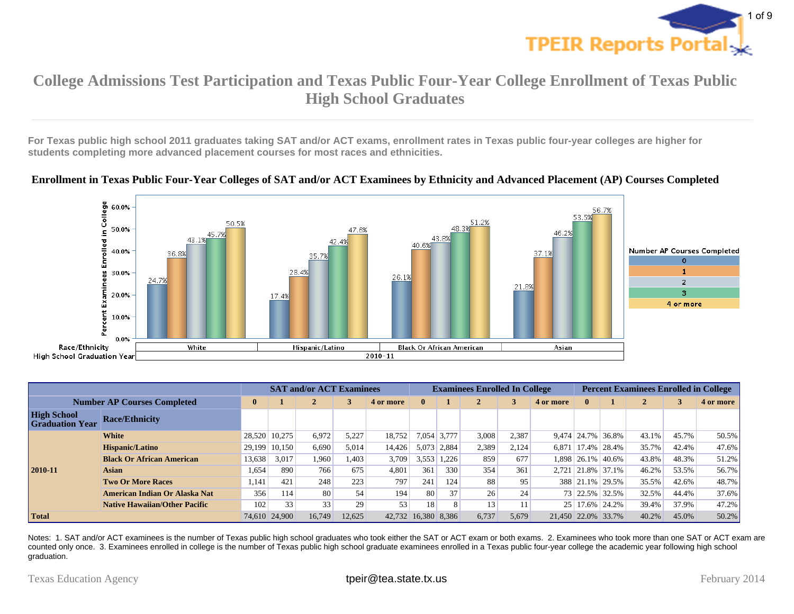

**For Texas public high school 2011 graduates taking SAT and/or ACT exams, enrollment rates in Texas public four-year colleges are higher for students completing more advanced placement courses for most races and ethnicities.**

#### **Enrollment in Texas Public Four-Year Colleges of SAT and/or ACT Examinees by Ethnicity and Advanced Placement (AP) Courses Completed**



|                                              |                                      |              |               | <b>SAT and/or ACT Examinees</b> |        |                 |                     |             | <b>Examinees Enrolled In College</b> |       |                    |                     |                   | <b>Percent Examinees Enrolled in College</b> |       |           |
|----------------------------------------------|--------------------------------------|--------------|---------------|---------------------------------|--------|-----------------|---------------------|-------------|--------------------------------------|-------|--------------------|---------------------|-------------------|----------------------------------------------|-------|-----------|
| <b>Number AP Courses Completed</b>           |                                      | $\mathbf{0}$ |               |                                 |        | 4 or more       | 0                   |             |                                      |       | 4 or more          |                     |                   |                                              |       | 4 or more |
| <b>High School</b><br><b>Graduation Year</b> | <b>Race/Ethnicity</b>                |              |               |                                 |        |                 |                     |             |                                      |       |                    |                     |                   |                                              |       |           |
|                                              | White                                |              | 28,520 10,275 | 6,972                           | 5,227  | 18,752          |                     | 7,054 3,777 | 3,008                                | 2,387 |                    | $9.474 \mid 24.7\%$ | 36.8%             | 43.1%                                        | 45.7% | $50.5\%$  |
|                                              | Hispanic/Latino                      |              | 29,199 10,150 | 6.690                           | 5,014  | 14.426          |                     | 5,073 2,884 | 2,389                                | 2,124 | 6.871              | 17.4%               | 28.4%             | 35.7%                                        | 42.4% | $47.6\%$  |
|                                              | <b>Black Or African American</b>     | 13,638       | 3,017         | 1,960                           | 1,403  | 3,709           | 3,553               | 1,226       | 859                                  | 677   |                    | 1,898 26.1%         | 40.6%             | 43.8%                                        | 48.3% | 51.2%     |
| $2010 - 11$                                  | <b>Asian</b>                         | 1,654        | 890           | 766                             | 675    | 4,801           | 361                 | 330         | 354                                  | 361   |                    |                     | 2,721 21.8% 37.1% | 46.2%                                        | 53.5% | 56.7%     |
|                                              | <b>Two Or More Races</b>             | 1.141        | 421           | 248                             | 223    | 797             | 241                 | 124         | 88                                   | 95    |                    | 388 21.1%           | 29.5%             | 35.5%                                        | 42.6% | 48.7%     |
|                                              | American Indian Or Alaska Nat        | 356          | 114           | 80                              | 54     | 194             | 80                  | 37          | 26                                   | 24    |                    | 73 22.5%            | 32.5%             | 32.5%                                        | 44.4% | $37.6\%$  |
|                                              | <b>Native Hawaiian/Other Pacific</b> | 102          | 33            | 33                              | 29     | 53 <sub>1</sub> | 18                  |             | 13                                   |       |                    | 25 17.6%            | 24.2%             | 39.4%                                        | 37.9% | $47.2\%$  |
| <b>Total</b>                                 |                                      |              | 74,610 24,900 | 16.749                          | 12.625 |                 | 42,732 16,380 8,386 |             | 6,737                                | 5,679 | 21.450 22.0% 33.7% |                     |                   | 40.2%                                        | 45.0% | 50.2%     |

Notes: 1. SAT and/or ACT examinees is the number of Texas public high school graduates who took either the SAT or ACT exam or both exams. 2. Examinees who took more than one SAT or ACT exam are counted only once. 3. Examinees enrolled in college is the number of Texas public high school graduate examinees enrolled in a Texas public four-year college the academic year following high school graduation.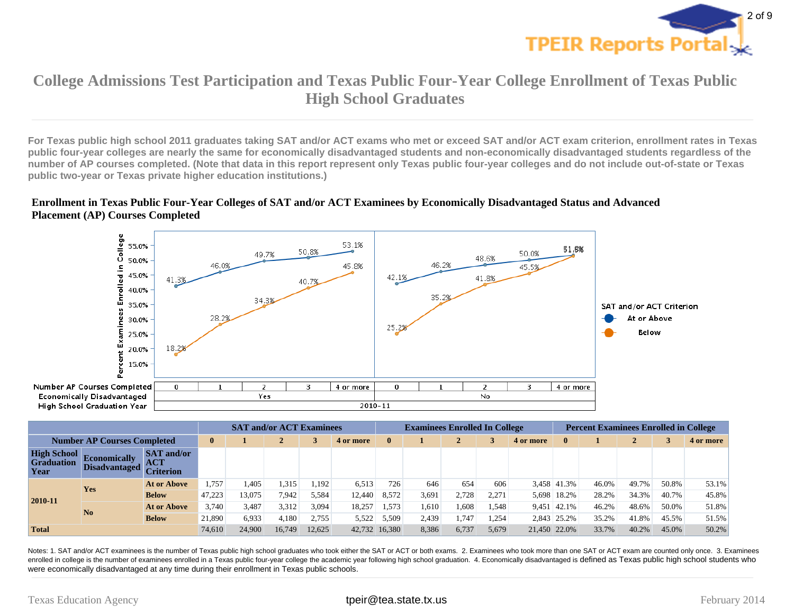

**For Texas public high school 2011 graduates taking SAT and/or ACT exams who met or exceed SAT and/or ACT exam criterion, enrollment rates in Texas public four-year colleges are nearly the same for economically disadvantaged students and non-economically disadvantaged students regardless of the number of AP courses completed. (Note that data in this report represent only Texas public four-year colleges and do not include out-of-state or Texas public two-year or Texas private higher education institutions.)**

#### **Enrollment in Texas Public Four-Year Colleges of SAT and/or ACT Examinees by Economically Disadvantaged Status and Advanced Placement (AP) Courses Completed**



|                                                 |                                             |                                                     |        |        | <b>SAT and/or ACT Examinees</b> |           |               |       | <b>Examinees Enrolled In College</b> |       |           |              | <b>Percent Examinees Enrolled in College</b> |       |       |           |       |  |
|-------------------------------------------------|---------------------------------------------|-----------------------------------------------------|--------|--------|---------------------------------|-----------|---------------|-------|--------------------------------------|-------|-----------|--------------|----------------------------------------------|-------|-------|-----------|-------|--|
| <b>Number AP Courses Completed</b>              |                                             | $\mathbf{0}$                                        |        |        |                                 | 4 or more | $\bf{0}$      |       |                                      |       | 4 or more |              |                                              | ◢     |       | 4 or more |       |  |
| <b>High School</b><br><b>Graduation</b><br>Year | <b>Economically</b><br><b>Disadvantaged</b> | <b>SAT</b> and/or<br><b>ACT</b><br><b>Criterion</b> |        |        |                                 |           |               |       |                                      |       |           |              |                                              |       |       |           |       |  |
|                                                 | Yes                                         | At or Above                                         | 1,757  | .405   | 1,315                           | 1,192     | 6,513         | 726   | 646                                  | 654   | 606       |              | 3,458 41.3%                                  | 46.0% | 49.7% | 50.8%     | 53.1% |  |
| $ 2010 - 11 $                                   |                                             | Below                                               | 47,223 | 13.075 | 7,942                           | 5,584     | 12,440        | 8,572 | 3,691                                | 2.728 | 2,271     | 5,698        | 18.2%                                        | 28.2% | 34.3% | 40.7%     | 45.8% |  |
|                                                 | N <sub>o</sub>                              | At or Above                                         | 3.740  | 3,487  | 3,312                           | 3,094     | 18,257        | 1,573 | 1,610                                | 1,608 | 1,548     | 9,451        | 42.1%                                        | 46.2% | 48.6% | 50.0%     | 51.8% |  |
|                                                 |                                             | <b>Below</b>                                        | 21,890 | 6,933  | 4.180                           | 2,755     | 5,522         | 5,509 | 2.439                                | 1,747 | .254      |              | 2,843 25.2%                                  | 35.2% | 41.8% | 45.5%     | 51.5% |  |
| <b>Total</b>                                    |                                             |                                                     | 74,610 | 24.900 | 16.749                          | 12.625    | 42,732 16,380 |       | 8,386                                | 6,737 | 5,679     | 21.450 22.0% |                                              | 33.7% | 40.2% | 45.0%     | 50.2% |  |

Notes: 1. SAT and/or ACT examinees is the number of Texas public high school graduates who took either the SAT or ACT or both exams. 2. Examinees who took more than one SAT or ACT exam are counted only once. 3. Examinees enrolled in college is the number of examinees enrolled in a Texas public four-year college the academic year following high school graduation. 4. Economically disadvantaged is defined as Texas public high school students were economically disadvantaged at any time during their enrollment in Texas public schools.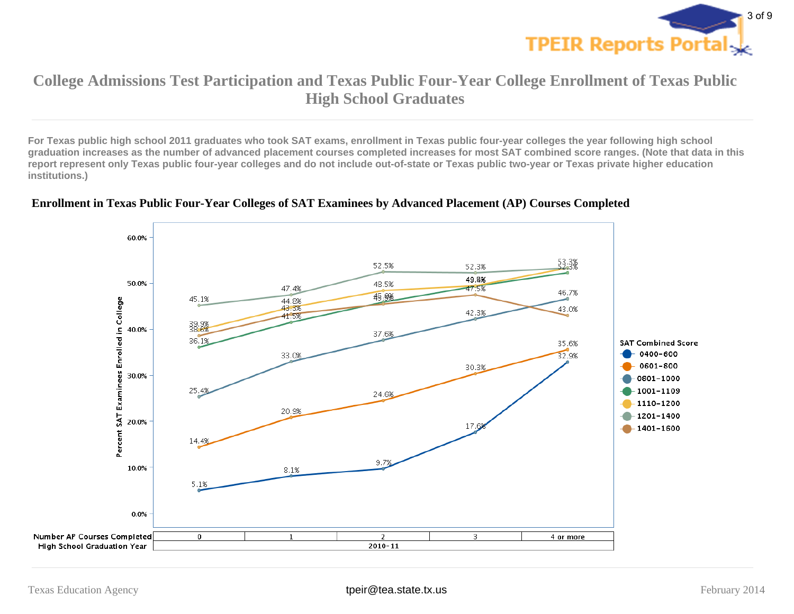

**For Texas public high school 2011 graduates who took SAT exams, enrollment in Texas public four-year colleges the year following high school graduation increases as the number of advanced placement courses completed increases for most SAT combined score ranges. (Note that data in this report represent only Texas public four-year colleges and do not include out-of-state or Texas public two-year or Texas private higher education institutions.)**



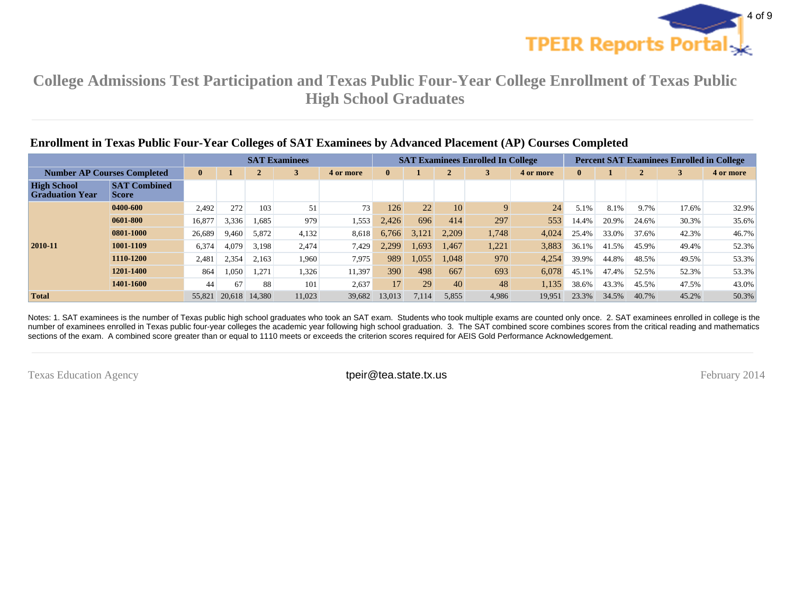

|                                              | Enrollment in Texas Public Four-Year Colleges of SAT Examinees by Advanced Placement (AP) Courses Completed |        |                |        |                      |          |        |       |       |                                          |          |                                                  |       |       |           |       |  |  |
|----------------------------------------------|-------------------------------------------------------------------------------------------------------------|--------|----------------|--------|----------------------|----------|--------|-------|-------|------------------------------------------|----------|--------------------------------------------------|-------|-------|-----------|-------|--|--|
|                                              |                                                                                                             |        |                |        | <b>SAT Examinees</b> |          |        |       |       | <b>SAT Examinees Enrolled In College</b> |          | <b>Percent SAT Examinees Enrolled in College</b> |       |       |           |       |  |  |
| <b>Number AP Courses Completed</b>           |                                                                                                             |        | $\overline{2}$ | 3      | 4 or more            | $\bf{0}$ |        |       |       | 4 or more                                | $\bf{0}$ |                                                  |       |       | 4 or more |       |  |  |
| <b>High School</b><br><b>Graduation Year</b> | <b>SAT Combined</b><br><b>Score</b>                                                                         |        |                |        |                      |          |        |       |       |                                          |          |                                                  |       |       |           |       |  |  |
|                                              | 0400-600                                                                                                    | 2,492  | 272            | 103    | 51                   | 73       | 126    | 22    | 10    | 9                                        | 24       | 5.1%                                             | 8.1%  | 9.7%  | 17.6%     | 32.9% |  |  |
|                                              | 0601-800                                                                                                    | 16,877 | 3,336          | 1,685  | 979                  | 1,553'   | 2.426  | 696   | 414   | 297                                      | 553      | 14.4%                                            | 20.9% | 24.6% | 30.3%     | 35.6% |  |  |
|                                              | 0801-1000                                                                                                   | 26,689 | 9,460          | 5,872  | 4,132                | 8,618    | 6.766  | 3.121 | 2.209 | 1,748                                    | 4,024    | 25.4%                                            | 33.0% | 37.6% | 42.3%     | 46.7% |  |  |
| 2010-11                                      | 1001-1109                                                                                                   | 6,374  | 4,079          | 3,198  | 2,474                | 7,429    | 2.299  | 1,693 | 1,467 | 1,221                                    | 3,883    | 36.1%                                            | 41.5% | 45.9% | 49.4%     | 52.3% |  |  |
|                                              | 1110-1200                                                                                                   | 2,481  | 2,354          | 2,163  | 1,960                | 7,975    | 989    | 1,055 | 1,048 | 970                                      | 4,254    | 39.9%                                            | 44.8% | 48.5% | 49.5%     | 53.3% |  |  |
|                                              | 1201-1400                                                                                                   | 864    | .050           | 1,271  | 1,326                | 11,397   | 390    | 498   | 667   | 693                                      | 6,078    | 45.1%                                            | 47.4% | 52.5% | 52.3%     | 53.3% |  |  |
|                                              | 1401-1600                                                                                                   | 44     | 67             | 88     | 101                  | 2,637    | 17     | 29    | 40    | 48                                       | 1,135    | 38.6%                                            | 43.3% | 45.5% | 47.5%     | 43.0% |  |  |
| <b>Total</b>                                 |                                                                                                             | 55,821 | 20.618         | 14.380 | 11,023               | 39,682   | 13,013 | 7,114 | 5,855 | 4,986                                    | 19,951   | 23.3%                                            | 34.5% | 40.7% | 45.2%     | 50.3% |  |  |

Notes: 1. SAT examinees is the number of Texas public high school graduates who took an SAT exam. Students who took multiple exams are counted only once. 2. SAT examinees enrolled in college is the number of examinees enrolled in Texas public four-year colleges the academic year following high school graduation. 3. The SAT combined score combines scores from the critical reading and mathematics sections of the exam. A combined score greater than or equal to 1110 meets or exceeds the criterion scores required for AEIS Gold Performance Acknowledgement.

Texas Education Agency **tpeir@tea.state.tx.us their@tea.state.tx.us** February 2014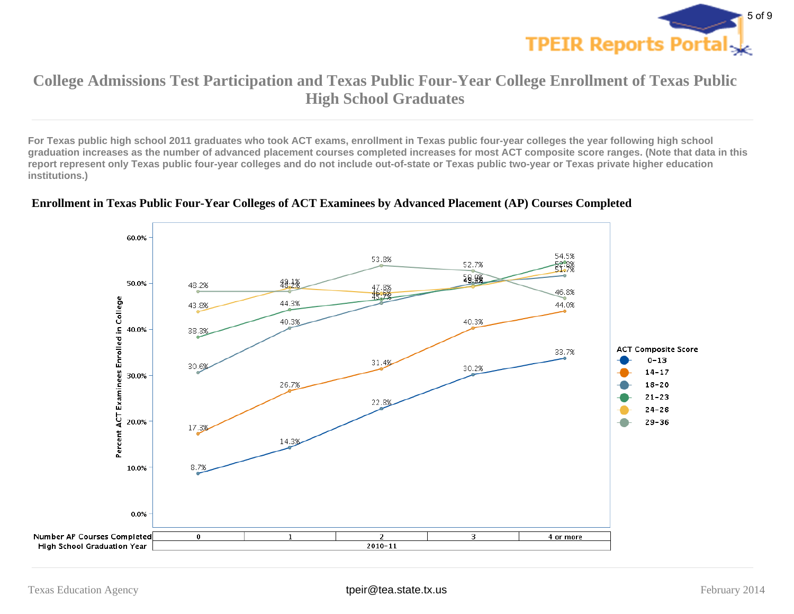

**For Texas public high school 2011 graduates who took ACT exams, enrollment in Texas public four-year colleges the year following high school graduation increases as the number of advanced placement courses completed increases for most ACT composite score ranges. (Note that data in this report represent only Texas public four-year colleges and do not include out-of-state or Texas public two-year or Texas private higher education institutions.)**



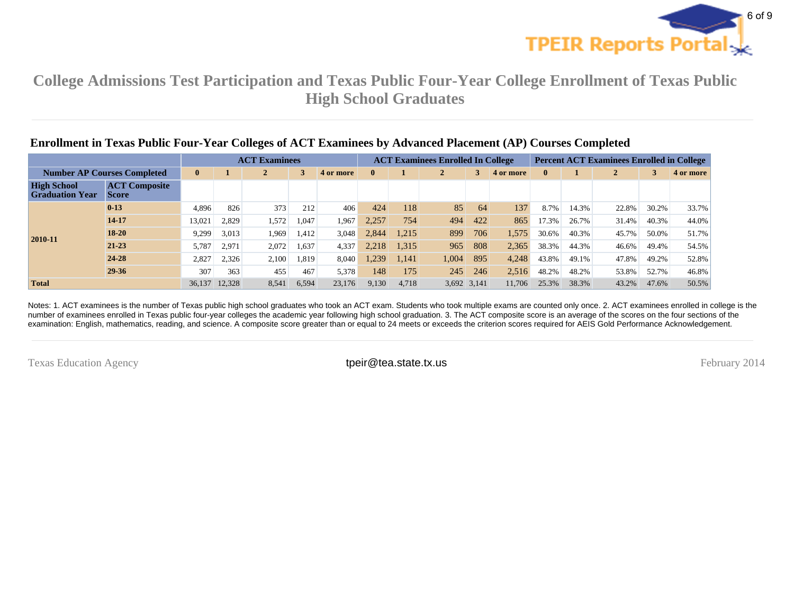

|                                              | <b>Enrollment in Texas Public Four-Year Colleges of ACT Examinees by Advanced Placement (AP) Courses Completed</b> |          |        |                      |       |           |              |                                          |       |             |                                                  |          |       |              |       |           |  |
|----------------------------------------------|--------------------------------------------------------------------------------------------------------------------|----------|--------|----------------------|-------|-----------|--------------|------------------------------------------|-------|-------------|--------------------------------------------------|----------|-------|--------------|-------|-----------|--|
|                                              |                                                                                                                    |          |        | <b>ACT Examinees</b> |       |           |              | <b>ACT Examinees Enrolled In College</b> |       |             | <b>Percent ACT Examinees Enrolled in College</b> |          |       |              |       |           |  |
| <b>Number AP Courses Completed</b>           |                                                                                                                    | $\bf{0}$ |        | $\mathbf{2}$         |       | 4 or more | $\mathbf{0}$ |                                          |       | 3           | 4 or more                                        | $\bf{0}$ |       | $\mathbf{2}$ | 3     | 4 or more |  |
| <b>High School</b><br><b>Graduation Year</b> | <b>ACT Composite</b><br><b>Score</b>                                                                               |          |        |                      |       |           |              |                                          |       |             |                                                  |          |       |              |       |           |  |
|                                              | $0-13$                                                                                                             | 4,896    | 826    | 373                  | 212   | 406       | 424          | 118                                      | 85    | 64          | 137                                              | 8.7%     | 14.3% | 22.8%        | 30.2% | 33.7%     |  |
|                                              | 14-17                                                                                                              | 13,021   | 2,829  | 1,572                | 1,047 | 1,967     | 2,257        | 754                                      | 494   | 422         | 865                                              | 17.3%    | 26.7% | 31.4%        | 40.3% | 44.0%     |  |
| $2010 - 11$                                  | $18-20$                                                                                                            | 9,299    | 3,013  | 1,969                | 1.412 | 3,048     | 2.844        | 1.215                                    | 899   | 706         | 1,575                                            | 30.6%    | 40.3% | 45.7%        | 50.0% | 51.7%     |  |
|                                              | $21 - 23$                                                                                                          | 5,787    | 2,971  | 2,072                | 1,637 | 4,337     | 2.218        | 1,315                                    | 965   | 808         | 2,365                                            | 38.3%    | 44.3% | 46.6%        | 49.4% | 54.5%     |  |
|                                              | 24-28                                                                                                              | 2,827    | 2,326  | 2,100                | 1,819 | 8,040     | 1,239        | 1.141                                    | 1,004 | 895         | 4,248                                            | 43.8%    | 49.1% | 47.8%        | 49.2% | 52.8%     |  |
|                                              | 29-36                                                                                                              | 307      | 363    | 455                  | 467   | 5,378     | 148          | 175                                      | 245   | 246         | 2,516                                            | 48.2%    | 48.2% | 53.8%        | 52.7% | 46.8%     |  |
| <b>Total</b>                                 |                                                                                                                    | 36.137   | 12.328 | 8.541                | 6,594 | 23,176    | 9,130        | 4.718                                    |       | 3,692 3,141 | 11.706                                           | 25.3%    | 38.3% | 43.2%        | 47.6% | 50.5%     |  |

#### Notes: 1. ACT examinees is the number of Texas public high school graduates who took an ACT exam. Students who took multiple exams are counted only once. 2. ACT examinees enrolled in college is the number of examinees enrolled in Texas public four-year colleges the academic year following high school graduation. 3. The ACT composite score is an average of the scores on the four sections of the examination: English, mathematics, reading, and science. A composite score greater than or equal to 24 meets or exceeds the criterion scores required for AEIS Gold Performance Acknowledgement.

Texas Education Agency **Exas Education Agency** trees the intervals the transition of the intervals of the intervals of the intervals of the intervals of the intervals of the intervals of the intervals of the intervals of t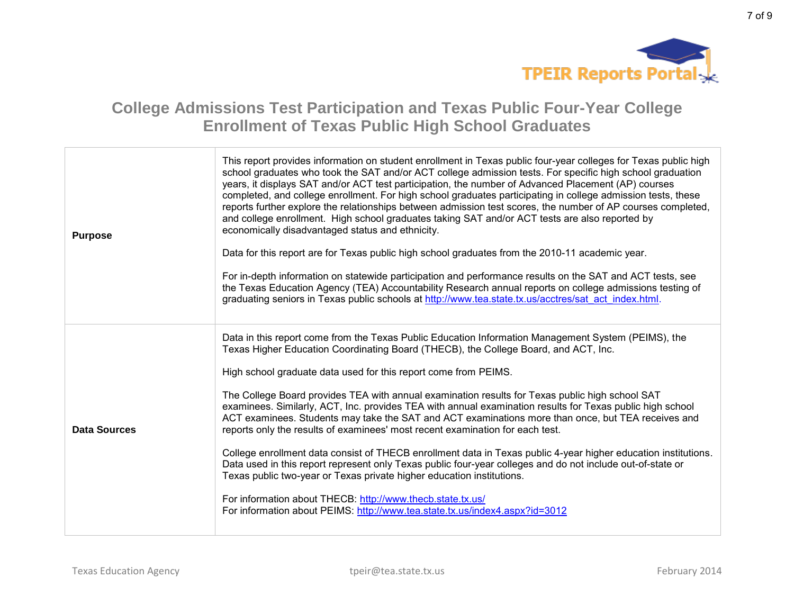

7 of 9

# **College Admissions Test Participation and Texas Public Four-Year College Enrollment of Texas Public High School Graduates**

| <b>Purpose</b> | This report provides information on student enrollment in Texas public four-year colleges for Texas public high<br>school graduates who took the SAT and/or ACT college admission tests. For specific high school graduation<br>years, it displays SAT and/or ACT test participation, the number of Advanced Placement (AP) courses<br>completed, and college enrollment. For high school graduates participating in college admission tests, these<br>reports further explore the relationships between admission test scores, the number of AP courses completed,<br>and college enrollment. High school graduates taking SAT and/or ACT tests are also reported by<br>economically disadvantaged status and ethnicity.<br>Data for this report are for Texas public high school graduates from the 2010-11 academic year.<br>For in-depth information on statewide participation and performance results on the SAT and ACT tests, see<br>the Texas Education Agency (TEA) Accountability Research annual reports on college admissions testing of<br>graduating seniors in Texas public schools at http://www.tea.state.tx.us/acctres/sat_act_index.html. |
|----------------|---------------------------------------------------------------------------------------------------------------------------------------------------------------------------------------------------------------------------------------------------------------------------------------------------------------------------------------------------------------------------------------------------------------------------------------------------------------------------------------------------------------------------------------------------------------------------------------------------------------------------------------------------------------------------------------------------------------------------------------------------------------------------------------------------------------------------------------------------------------------------------------------------------------------------------------------------------------------------------------------------------------------------------------------------------------------------------------------------------------------------------------------------------------|
| Data Sources   | Data in this report come from the Texas Public Education Information Management System (PEIMS), the<br>Texas Higher Education Coordinating Board (THECB), the College Board, and ACT, Inc.<br>High school graduate data used for this report come from PEIMS.<br>The College Board provides TEA with annual examination results for Texas public high school SAT<br>examinees. Similarly, ACT, Inc. provides TEA with annual examination results for Texas public high school<br>ACT examinees. Students may take the SAT and ACT examinations more than once, but TEA receives and<br>reports only the results of examinees' most recent examination for each test.<br>College enrollment data consist of THECB enrollment data in Texas public 4-year higher education institutions.<br>Data used in this report represent only Texas public four-year colleges and do not include out-of-state or<br>Texas public two-year or Texas private higher education institutions.<br>For information about THECB: http://www.thecb.state.tx.us/<br>For information about PEIMS: http://www.tea.state.tx.us/index4.aspx?id=3012                                    |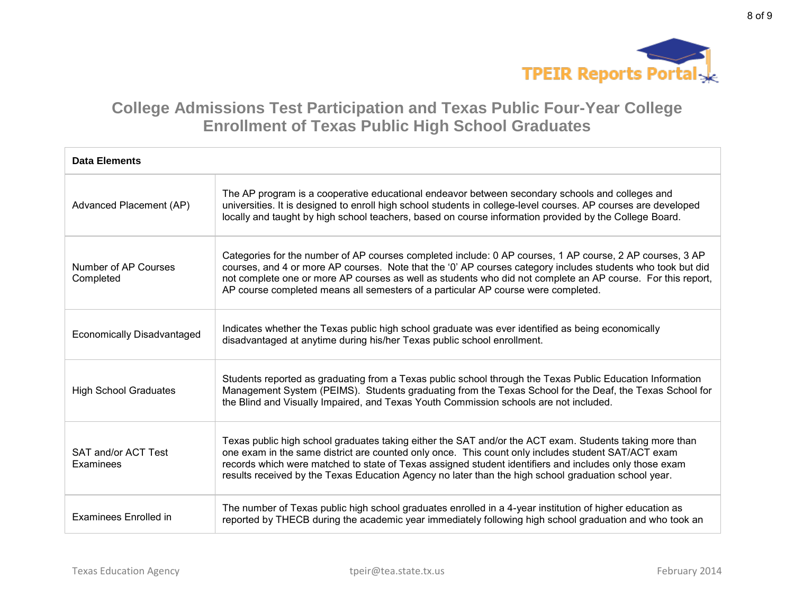

| <b>Data Elements</b>              |                                                                                                                                                                                                                                                                                                                                                                                                                                 |
|-----------------------------------|---------------------------------------------------------------------------------------------------------------------------------------------------------------------------------------------------------------------------------------------------------------------------------------------------------------------------------------------------------------------------------------------------------------------------------|
| Advanced Placement (AP)           | The AP program is a cooperative educational endeavor between secondary schools and colleges and<br>universities. It is designed to enroll high school students in college-level courses. AP courses are developed<br>locally and taught by high school teachers, based on course information provided by the College Board.                                                                                                     |
| Number of AP Courses<br>Completed | Categories for the number of AP courses completed include: 0 AP courses, 1 AP course, 2 AP courses, 3 AP<br>courses, and 4 or more AP courses. Note that the '0' AP courses category includes students who took but did<br>not complete one or more AP courses as well as students who did not complete an AP course. For this report,<br>AP course completed means all semesters of a particular AP course were completed.     |
| <b>Economically Disadvantaged</b> | Indicates whether the Texas public high school graduate was ever identified as being economically<br>disadvantaged at anytime during his/her Texas public school enrollment.                                                                                                                                                                                                                                                    |
| <b>High School Graduates</b>      | Students reported as graduating from a Texas public school through the Texas Public Education Information<br>Management System (PEIMS). Students graduating from the Texas School for the Deaf, the Texas School for<br>the Blind and Visually Impaired, and Texas Youth Commission schools are not included.                                                                                                                   |
| SAT and/or ACT Test<br>Examinees  | Texas public high school graduates taking either the SAT and/or the ACT exam. Students taking more than<br>one exam in the same district are counted only once. This count only includes student SAT/ACT exam<br>records which were matched to state of Texas assigned student identifiers and includes only those exam<br>results received by the Texas Education Agency no later than the high school graduation school year. |
| Examinees Enrolled in             | The number of Texas public high school graduates enrolled in a 4-year institution of higher education as<br>reported by THECB during the academic year immediately following high school graduation and who took an                                                                                                                                                                                                             |